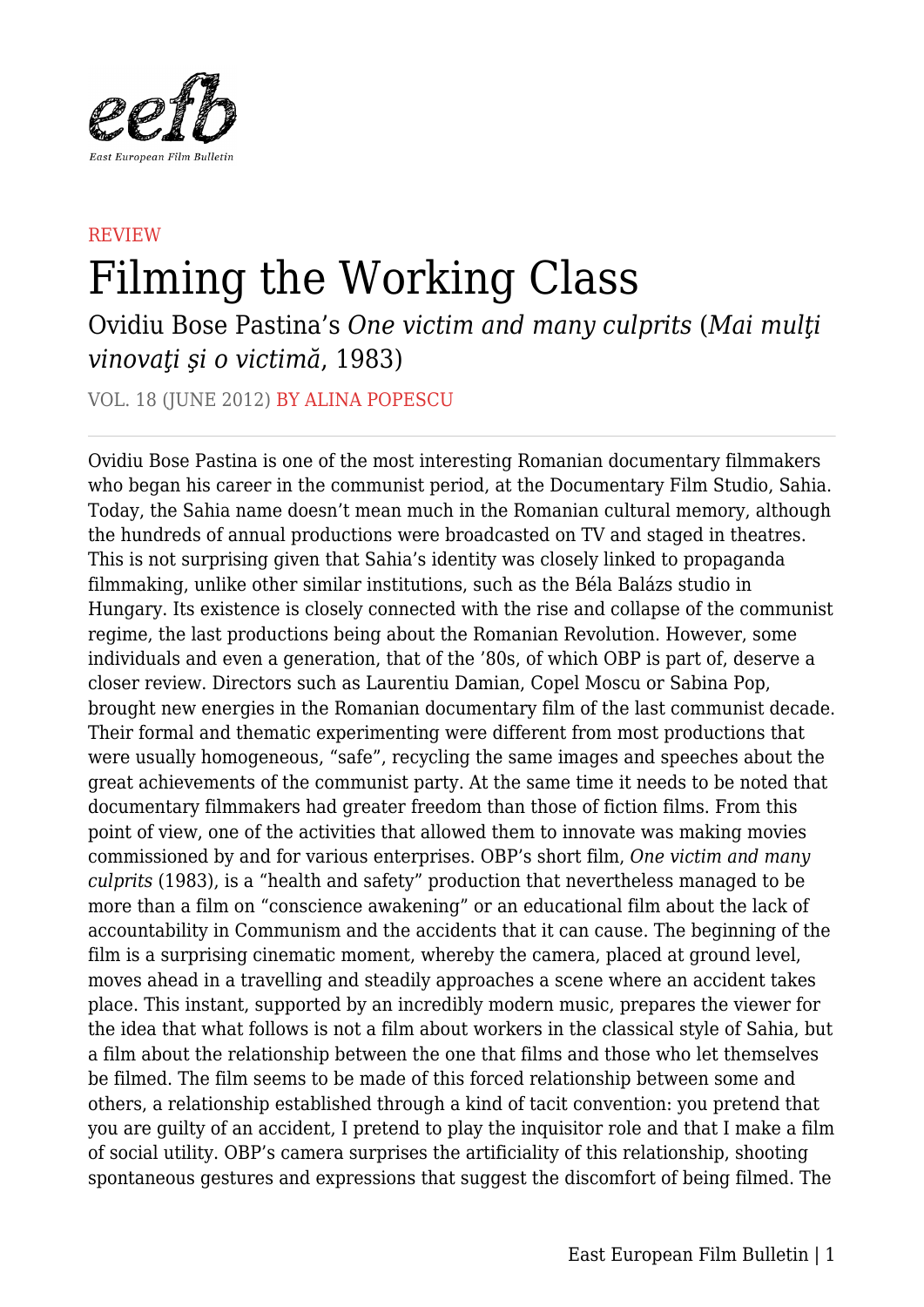

## **REVIEW** Filming the Working Class

Ovidiu Bose Pastina's *One victim and many culprits* (*Mai mulţi vinovaţi şi o victimă*, 1983)

VOL. 18 (JUNE 2012) BY ALINA POPESCU

Ovidiu Bose Pastina is one of the most interesting Romanian documentary filmmakers who began his career in the communist period, at the Documentary Film Studio, Sahia. Today, the Sahia name doesn't mean much in the Romanian cultural memory, although the hundreds of annual productions were broadcasted on TV and staged in theatres. This is not surprising given that Sahia's identity was closely linked to propaganda filmmaking, unlike other similar institutions, such as the Béla Balázs studio in Hungary. Its existence is closely connected with the rise and collapse of the communist regime, the last productions being about the Romanian Revolution. However, some individuals and even a generation, that of the '80s, of which OBP is part of, deserve a closer review. Directors such as Laurentiu Damian, Copel Moscu or Sabina Pop, brought new energies in the Romanian documentary film of the last communist decade. Their formal and thematic experimenting were different from most productions that were usually homogeneous, "safe", recycling the same images and speeches about the great achievements of the communist party. At the same time it needs to be noted that documentary filmmakers had greater freedom than those of fiction films. From this point of view, one of the activities that allowed them to innovate was making movies commissioned by and for various enterprises. OBP's short film, *One victim and many culprits* (1983), is a "health and safety" production that nevertheless managed to be more than a film on "conscience awakening" or an educational film about the lack of accountability in Communism and the accidents that it can cause. The beginning of the film is a surprising cinematic moment, whereby the camera, placed at ground level, moves ahead in a travelling and steadily approaches a scene where an accident takes place. This instant, supported by an incredibly modern music, prepares the viewer for the idea that what follows is not a film about workers in the classical style of Sahia, but a film about the relationship between the one that films and those who let themselves be filmed. The film seems to be made of this forced relationship between some and others, a relationship established through a kind of tacit convention: you pretend that you are guilty of an accident, I pretend to play the inquisitor role and that I make a film of social utility. OBP's camera surprises the artificiality of this relationship, shooting spontaneous gestures and expressions that suggest the discomfort of being filmed. The